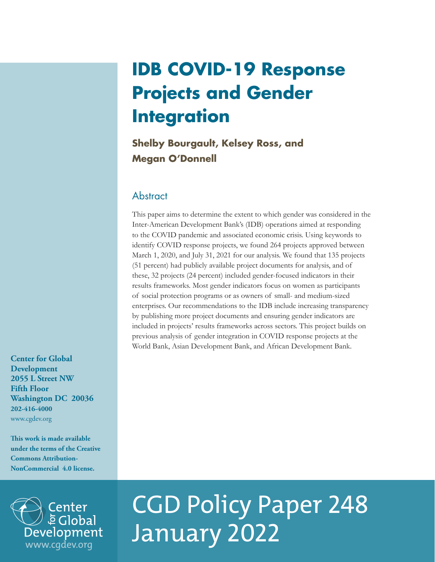## **IDB COVID-19 Response Projects and Gender Integration**

**Shelby Bourgault, Kelsey Ross, and Megan O'Donnell**

#### **Abstract**

This paper aims to determine the extent to which gender was considered in the Inter-American Development Bank's (IDB) operations aimed at responding to the COVID pandemic and associated economic crisis. Using keywords to identify COVID response projects, we found 264 projects approved between March 1, 2020, and July 31, 2021 for our analysis. We found that 135 projects (51 percent) had publicly available project documents for analysis, and of these, 32 projects (24 percent) included gender-focused indicators in their results frameworks. Most gender indicators focus on women as participants of social protection programs or as owners of small- and medium-sized enterprises. Our recommendations to the IDB include increasing transparency by publishing more project documents and ensuring gender indicators are included in projects' results frameworks across sectors. This project builds on previous analysis of gender integration in COVID response projects at the World Bank, Asian Development Bank, and African Development Bank.

**Center for Global Development 2055 L Street NW Fifth Floor Washington DC 20036 202-416-4000**  [www.cgdev.org](http://www.cgdev.org)

**This work is made available under the terms of the Creative Commons Attribution-NonCommercial 4.0 license.**



# CGD Policy Paper 248 *J* E Global<br>Development January 2022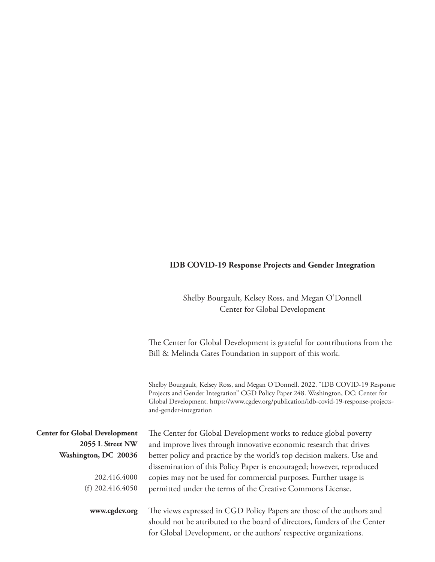#### **IDB COVID-19 Response Projects and Gender Integration**

#### Shelby Bourgault, Kelsey Ross, and Megan O'Donnell Center for Global Development

The Center for Global Development is grateful for contributions from the Bill & Melinda Gates Foundation in support of this work.

Shelby Bourgault, Kelsey Ross, and Megan O'Donnell. 2022. "IDB COVID-19 Response Projects and Gender Integration" CGD Policy Paper 248. Washington, DC: Center for Global Development. [https://www.cgdev.org/publication/idb-covid-19-response-projects](https://www.cgdev.org/publication/idb-covid-19-response-projects-and-gender-integration)[and-gender-integration](https://www.cgdev.org/publication/idb-covid-19-response-projects-and-gender-integration)

|                                                          | Grobal Development. Intpoth www.eguer.org/publication/lub covid-17 response projects<br>and-gender-integration                                                                                                          |
|----------------------------------------------------------|-------------------------------------------------------------------------------------------------------------------------------------------------------------------------------------------------------------------------|
| <b>Center for Global Development</b><br>2055 L Street NW | The Center for Global Development works to reduce global poverty<br>and improve lives through innovative economic research that drives                                                                                  |
| Washington, DC 20036                                     | better policy and practice by the world's top decision makers. Use and<br>dissemination of this Policy Paper is encouraged; however, reproduced                                                                         |
| 202.416.4000                                             | copies may not be used for commercial purposes. Further usage is                                                                                                                                                        |
| (f) $202.416.4050$                                       | permitted under the terms of the Creative Commons License.                                                                                                                                                              |
| www.cgdev.org                                            | The views expressed in CGD Policy Papers are those of the authors and<br>should not be attributed to the board of directors, funders of the Center<br>for Global Development, or the authors' respective organizations. |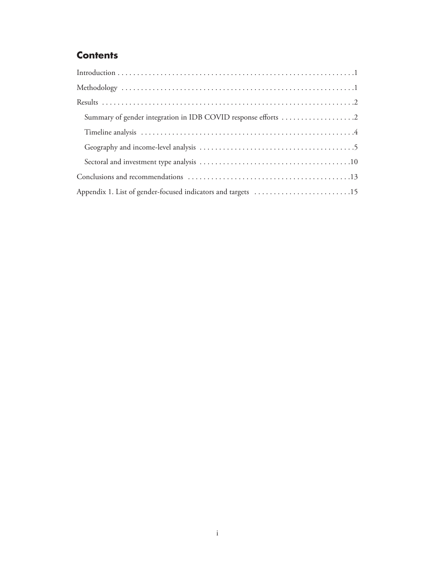## **Contents**

| Appendix 1. List of gender-focused indicators and targets 15 |
|--------------------------------------------------------------|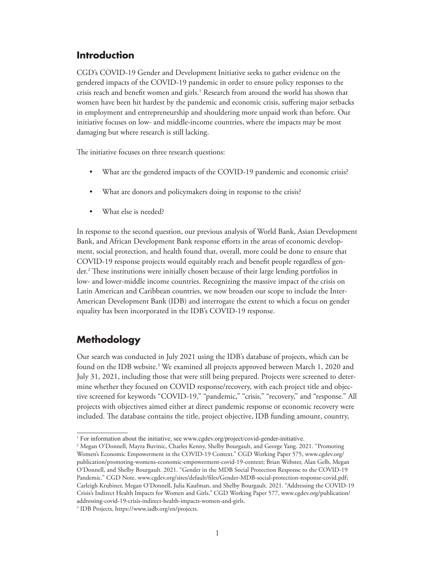## <span id="page-3-0"></span>**Introduction**

CGD's COVID-19 Gender and Development Initiative seeks to gather evidence on the gendered impacts of the COVID-19 pandemic in order to ensure policy responses to the crisis reach and benefit women and girls.<sup>1</sup> Research from around the world has shown that women have been hit hardest by the pandemic and economic crisis, suffering major setbacks in employment and entrepreneurship and shouldering more unpaid work than before. Our initiative focuses on low- and middle-income countries, where the impacts may be most damaging but where research is still lacking.

The initiative focuses on three research questions:

- What are the gendered impacts of the COVID-19 pandemic and economic crisis?
- What are donors and policymakers doing in response to the crisis?
- What else is needed?

In response to the second question, our previous analysis of World Bank, Asian Development Bank, and African Development Bank response efforts in the areas of economic development, social protection, and health found that, overall, more could be done to ensure that COVID-19 response projects would equitably reach and benefit people regardless of gender.2 These institutions were initially chosen because of their large lending portfolios in low- and lower-middle income countries. Recognizing the massive impact of the crisis on Latin American and Caribbean countries, we now broaden our scope to include the Inter-American Development Bank (IDB) and interrogate the extent to which a focus on gender equality has been incorporated in the IDB's COVID-19 response.

## **Methodology**

Our search was conducted in July 2021 using the IDB's database of projects, which can be found on the IDB website.<sup>3</sup> We examined all projects approved between March 1, 2020 and July 31, 2021, including those that were still being prepared. Projects were screened to determine whether they focused on COVID response/recovery, with each project title and objective screened for keywords "COVID-19," "pandemic," "crisis," "recovery," and "response." All projects with objectives aimed either at direct pandemic response or economic recovery were included. The database contains the title, project objective, IDB funding amount, country,

<sup>&</sup>lt;sup>1</sup> For information about the initiative, see [www.cgdev.org/project/covid-gender-initiative.](http://www.cgdev.org/project/covid-gender-initiative)

<sup>2</sup> Megan O'Donnell, Mayra Buvinic, Charles Kenny, Shelby Bourgault, and George Yang. 2021. "Promoting Women's Economic Empowerment in the COVID-19 Context." CGD Working Paper 575, [www.cgdev.org/](http://www.cgdev.org/publication/promoting-womens-economic-empowerment-covid-19-context) [publication/promoting-womens-economic-empowerment-covid-19-context;](http://www.cgdev.org/publication/promoting-womens-economic-empowerment-covid-19-context) Brian Webster, Alan Gelb, Megan O'Donnell, and Shelby Bourgault. 2021. "Gender in the MDB Social Protection Response to the COVID-19 Pandemic." CGD Note. [www.cgdev.org/sites/default/files/Gender-MDB-social-protection-response-covid.pdf;](http://www.cgdev.org/sites/default/files/Gender-MDB-social-protection-response-covid.pdf) Carleigh Krubiner, Megan O'Donnell, Julia Kaufman, and Shelby Bourgault. 2021. "Addressing the COVID-19 Crisis's Indirect Health Impacts for Women and Girls." CGD Working Paper 577, [www.cgdev.org/publication/](http://www.cgdev.org/publication/addressing-covid-19-crisis-indirect-health-impacts-women-and-girls) [addressing-covid-19-crisis-indirect-health-impacts-women-and-girls.](http://www.cgdev.org/publication/addressing-covid-19-crisis-indirect-health-impacts-women-and-girls)

<sup>3</sup> IDB Projects,<https://www.iadb.org/en/projects>.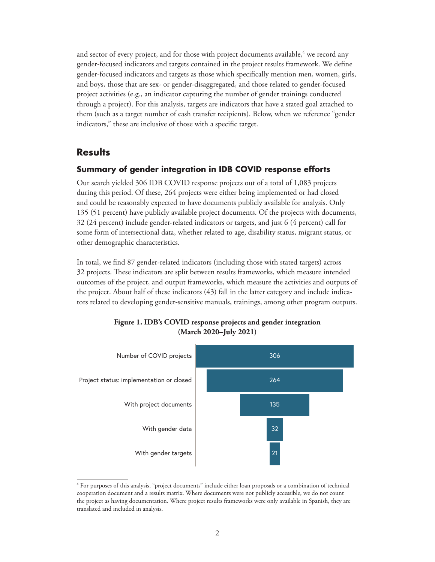<span id="page-4-0"></span>and sector of every project, and for those with project documents available, $\rm ^4$  we record any gender-focused indicators and targets contained in the project results framework. We define gender-focused indicators and targets as those which specifically mention men, women, girls, and boys, those that are sex- or gender-disaggregated, and those related to gender-focused project activities (e.g., an indicator capturing the number of gender trainings conducted through a project). For this analysis, targets are indicators that have a stated goal attached to them (such as a target number of cash transfer recipients). Below, when we reference "gender indicators," these are inclusive of those with a specific target.

#### **Results**

#### **Summary of gender integration in IDB COVID response efforts**

Our search yielded 306 IDB COVID response projects out of a total of 1,083 projects during this period. Of these, 264 projects were either being implemented or had closed and could be reasonably expected to have documents publicly available for analysis. Only 135 (51 percent) have publicly available project documents. Of the projects with documents, 32 (24 percent) include gender-related indicators or targets, and just 6 (4 percent) call for some form of intersectional data, whether related to age, disability status, migrant status, or other demographic characteristics.

In total, we find 87 gender-related indicators (including those with stated targets) across 32 projects. These indicators are split between results frameworks, which measure intended outcomes of the project, and output frameworks, which measure the activities and outputs of the project. About half of these indicators (43) fall in the latter category and include indicators related to developing gender-sensitive manuals, trainings, among other program outputs.



#### **Figure 1. IDB's COVID response projects and gender integration (March 2020–July 2021)**

<sup>4</sup> For purposes of this analysis, "project documents" include either loan proposals or a combination of technical cooperation document and a results matrix. Where documents were not publicly accessible, we do not count the project as having documentation. Where project results frameworks were only available in Spanish, they are translated and included in analysis.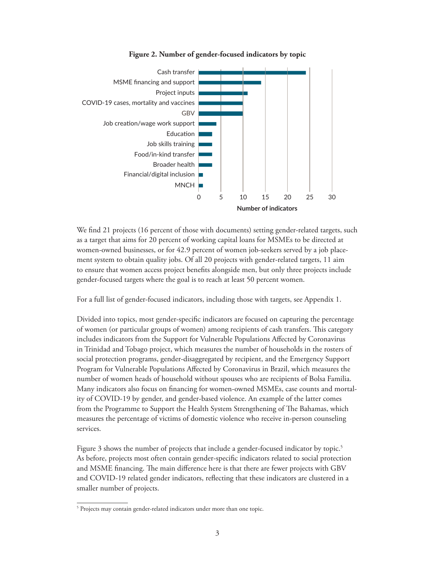

#### **Figure 2. Number of gender-focused indicators by topic**

We find 21 projects (16 percent of those with documents) setting gender-related targets, such as a target that aims for 20 percent of working capital loans for MSMEs to be directed at women-owned businesses, or for 42.9 percent of women job-seekers served by a job placement system to obtain quality jobs. Of all 20 projects with gender-related targets, 11 aim to ensure that women access project benefits alongside men, but only three projects include gender-focused targets where the goal is to reach at least 50 percent women.

For a full list of gender-focused indicators, including those with targets, see Appendix 1.

Divided into topics, most gender-specific indicators are focused on capturing the percentage of women (or particular groups of women) among recipients of cash transfers. This category includes indicators from the Support for Vulnerable Populations Affected by Coronavirus in Trinidad and Tobago project, which measures the number of households in the rosters of social protection programs, gender-disaggregated by recipient, and the Emergency Support Program for Vulnerable Populations Affected by Coronavirus in Brazil, which measures the number of women heads of household without spouses who are recipients of Bolsa Familia. Many indicators also focus on financing for women-owned MSMEs, case counts and mortality of COVID-19 by gender, and gender-based violence. An example of the latter comes from the Programme to Support the Health System Strengthening of The Bahamas, which measures the percentage of victims of domestic violence who receive in-person counseling services.

Figure 3 shows the number of projects that include a gender-focused indicator by topic.<sup>5</sup> As before, projects most often contain gender-specific indicators related to social protection and MSME financing. The main difference here is that there are fewer projects with GBV and COVID-19 related gender indicators, reflecting that these indicators are clustered in a smaller number of projects.

<sup>&</sup>lt;sup>5</sup> Projects may contain gender-related indicators under more than one topic.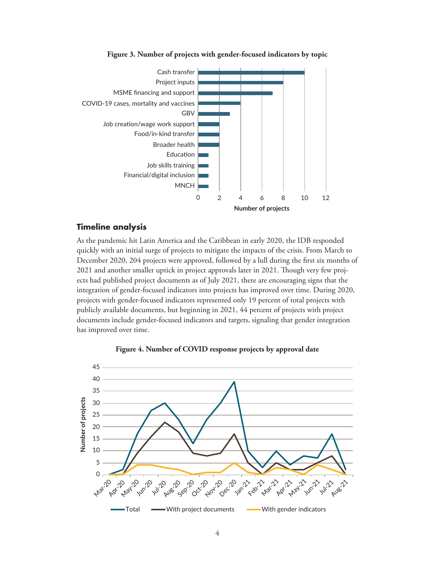<span id="page-6-0"></span>

#### **Figure 3. Number of projects with gender-focused indicators by topic**

#### **Timeline analysis**

As the pandemic hit Latin America and the Caribbean in early 2020, the IDB responded quickly with an initial surge of projects to mitigate the impacts of the crisis. From March to December 2020, 204 projects were approved, followed by a lull during the first six months of 2021 and another smaller uptick in project approvals later in 2021. Though very few projects had published project documents as of July 2021, there are encouraging signs that the integration of gender-focused indicators into projects has improved over time. During 2020, projects with gender-focused indicators represented only 19 percent of total projects with publicly available documents, but beginning in 2021, 44 percent of projects with project documents include gender-focused indicators and targets, signaling that gender integration has improved over time.



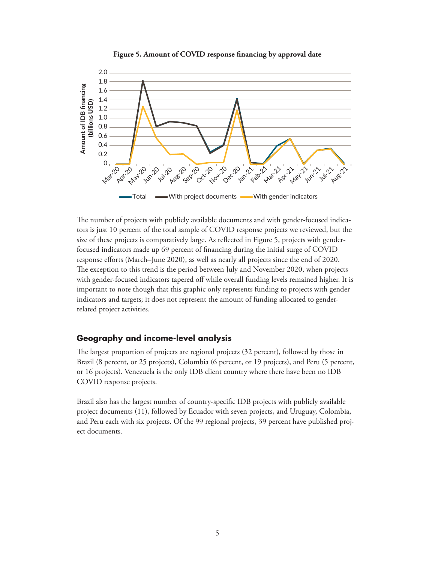

<span id="page-7-0"></span>

The number of projects with publicly available documents and with gender-focused indicators is just 10 percent of the total sample of COVID response projects we reviewed, but the size of these projects is comparatively large. As reflected in Figure 5, projects with genderfocused indicators made up 69 percent of financing during the initial surge of COVID response efforts (March–June 2020), as well as nearly all projects since the end of 2020. The exception to this trend is the period between July and November 2020, when projects with gender-focused indicators tapered off while overall funding levels remained higher. It is important to note though that this graphic only represents funding to projects with gender indicators and targets; it does not represent the amount of funding allocated to genderrelated project activities.

#### **Geography and income-level analysis**

The largest proportion of projects are regional projects (32 percent), followed by those in Brazil (8 percent, or 25 projects), Colombia (6 percent, or 19 projects), and Peru (5 percent, or 16 projects). Venezuela is the only IDB client country where there have been no IDB COVID response projects.

Brazil also has the largest number of country-specific IDB projects with publicly available project documents (11), followed by Ecuador with seven projects, and Uruguay, Colombia, and Peru each with six projects. Of the 99 regional projects, 39 percent have published project documents.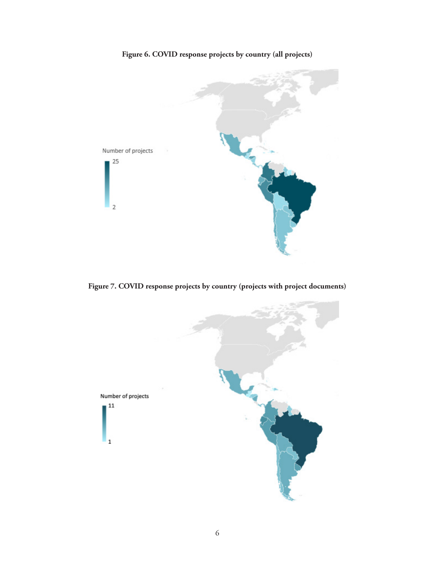**Figure 6. COVID response projects by country (all projects)**



**Figure 7. COVID response projects by country (projects with project documents)**

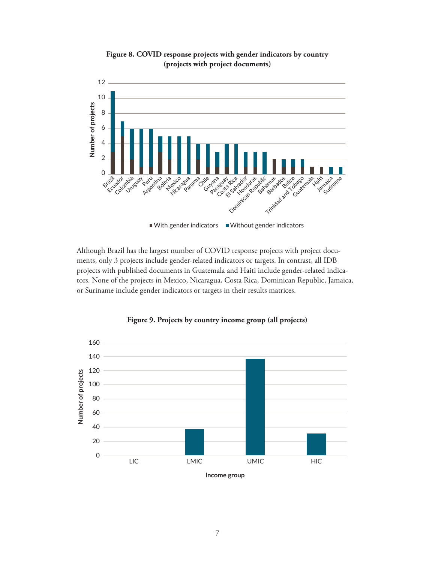

**Figure 8. COVID response projects with gender indicators by country (projects with project documents)**

Although Brazil has the largest number of COVID response projects with project documents, only 3 projects include gender-related indicators or targets. In contrast, all IDB projects with published documents in Guatemala and Haiti include gender-related indicators. None of the projects in Mexico, Nicaragua, Costa Rica, Dominican Republic, Jamaica, or Suriname include gender indicators or targets in their results matrices.



**Figure 9. Projects by country income group (all projects)**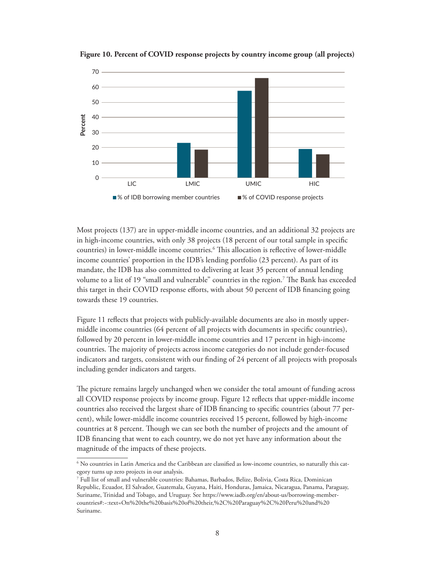

**Figure 10. Percent of COVID response projects by country income group (all projects)**

Most projects (137) are in upper-middle income countries, and an additional 32 projects are in high-income countries, with only 38 projects (18 percent of our total sample in specific countries) in lower-middle income countries.6 This allocation is reflective of lower-middle income countries' proportion in the IDB's lending portfolio (23 percent). As part of its mandate, the IDB has also committed to delivering at least 35 percent of annual lending volume to a list of 19 "small and vulnerable" countries in the region.7 The Bank has exceeded this target in their COVID response efforts, with about 50 percent of IDB financing going towards these 19 countries.

Figure 11 reflects that projects with publicly-available documents are also in mostly uppermiddle income countries (64 percent of all projects with documents in specific countries), followed by 20 percent in lower-middle income countries and 17 percent in high-income countries. The majority of projects across income categories do not include gender-focused indicators and targets, consistent with our finding of 24 percent of all projects with proposals including gender indicators and targets.

The picture remains largely unchanged when we consider the total amount of funding across all COVID response projects by income group. Figure 12 reflects that upper-middle income countries also received the largest share of IDB financing to specific countries (about 77 percent), while lower-middle income countries received 15 percent, followed by high-income countries at 8 percent. Though we can see both the number of projects and the amount of IDB financing that went to each country, we do not yet have any information about the magnitude of the impacts of these projects.

 $^6$  No countries in Latin America and the Caribbean are classified as low-income countries, so naturally this category turns up zero projects in our analysis.

<sup>7</sup> Full list of small and vulnerable countries: Bahamas, Barbados, Belize, Bolivia, Costa Rica, Dominican Republic, Ecuador, El Salvador, Guatemala, Guyana, Haiti, Honduras, Jamaica, Nicaragua, Panama, Paraguay, Suriname, Trinidad and Tobago, and Uruguay. See https://www.iadb.org/en/about-us/borrowing-membercountries#:~:text=On%20the%20basis%20of%20their,%2C%20Paraguay%2C%20Peru%20and%20 Suriname.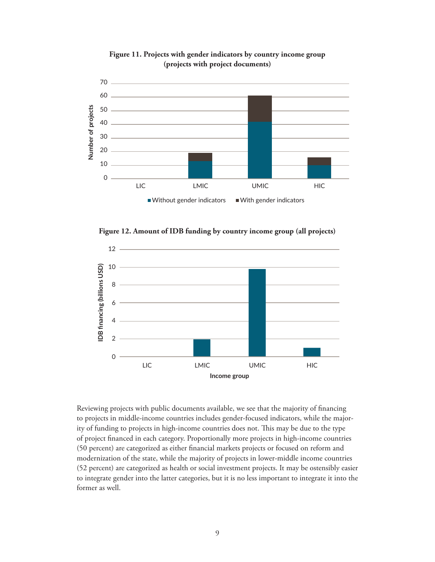

**Figure 11. Projects with gender indicators by country income group (projects with project documents)** 

**Figure 12. Amount of IDB funding by country income group (all projects)**



Reviewing projects with public documents available, we see that the majority of financing to projects in middle-income countries includes gender-focused indicators, while the majority of funding to projects in high-income countries does not. This may be due to the type of project financed in each category. Proportionally more projects in high-income countries (50 percent) are categorized as either financial markets projects or focused on reform and modernization of the state, while the majority of projects in lower-middle income countries (52 percent) are categorized as health or social investment projects. It may be ostensibly easier to integrate gender into the latter categories, but it is no less important to integrate it into the former as well.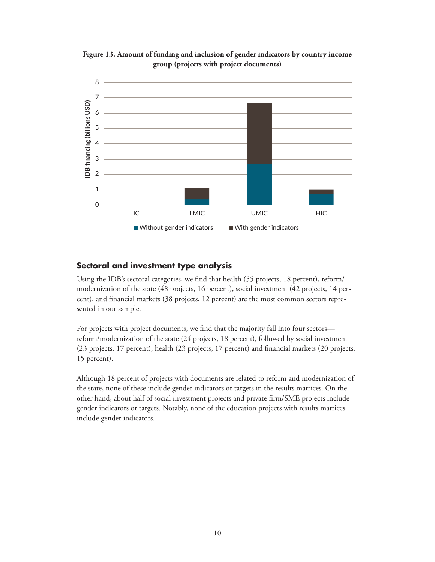

<span id="page-12-0"></span>**Figure 13. Amount of funding and inclusion of gender indicators by country income group (projects with project documents)**

#### **Sectoral and investment type analysis**

Using the IDB's sectoral categories, we find that health (55 projects, 18 percent), reform/ modernization of the state (48 projects, 16 percent), social investment (42 projects, 14 percent), and financial markets (38 projects, 12 percent) are the most common sectors represented in our sample.

For projects with project documents, we find that the majority fall into four sectors reform/modernization of the state (24 projects, 18 percent), followed by social investment (23 projects, 17 percent), health (23 projects, 17 percent) and financial markets (20 projects, 15 percent).

Although 18 percent of projects with documents are related to reform and modernization of the state, none of these include gender indicators or targets in the results matrices. On the other hand, about half of social investment projects and private firm/SME projects include gender indicators or targets. Notably, none of the education projects with results matrices include gender indicators.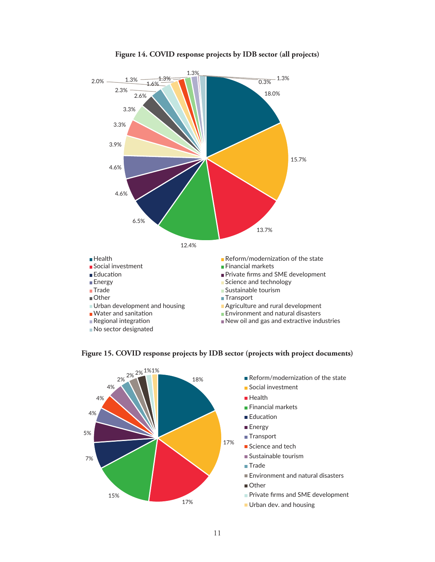

#### **Figure 14. COVID response projects by IDB sector (all projects)**



**Figure 15. COVID response projects by IDB sector (projects with project documents)**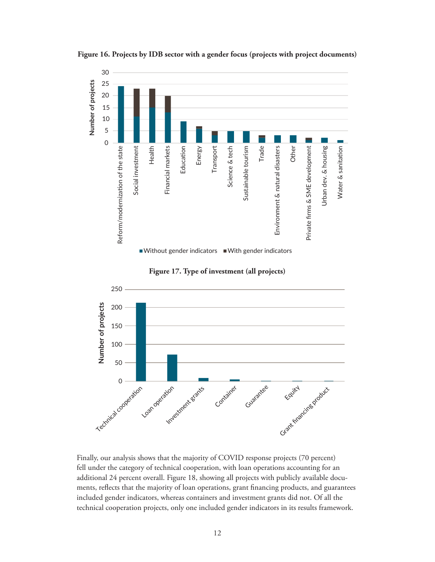

**Figure 16. Projects by IDB sector with a gender focus (projects with project documents)** 





Finally, our analysis shows that the majority of COVID response projects (70 percent) fell under the category of technical cooperation, with loan operations accounting for an additional 24 percent overall. Figure 18, showing all projects with publicly available documents, reflects that the majority of loan operations, grant financing products, and guarantees included gender indicators, whereas containers and investment grants did not. Of all the technical cooperation projects, only one included gender indicators in its results framework.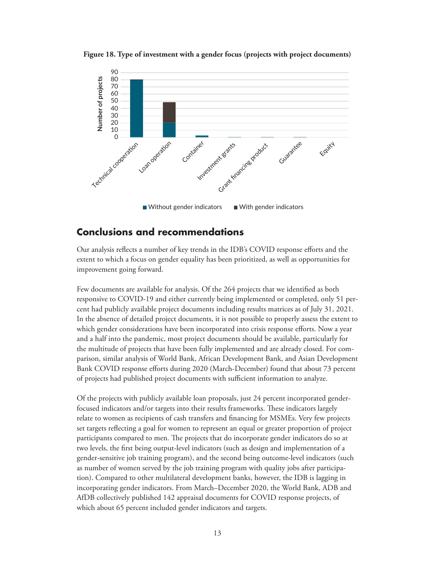

<span id="page-15-0"></span>**Figure 18. Type of investment with a gender focus (projects with project documents)**

## **Conclusions and recommendations**

Our analysis reflects a number of key trends in the IDB's COVID response efforts and the extent to which a focus on gender equality has been prioritized, as well as opportunities for improvement going forward.

Few documents are available for analysis. Of the 264 projects that we identified as both responsive to COVID-19 and either currently being implemented or completed, only 51 percent had publicly available project documents including results matrices as of July 31, 2021. In the absence of detailed project documents, it is not possible to properly assess the extent to which gender considerations have been incorporated into crisis response efforts. Now a year and a half into the pandemic, most project documents should be available, particularly for the multitude of projects that have been fully implemented and are already closed. For comparison, similar analysis of World Bank, African Development Bank, and Asian Development Bank COVID response efforts during 2020 (March-December) found that about 73 percent of projects had published project documents with sufficient information to analyze.

Of the projects with publicly available loan proposals, just 24 percent incorporated genderfocused indicators and/or targets into their results frameworks. These indicators largely relate to women as recipients of cash transfers and financing for MSMEs. Very few projects set targets reflecting a goal for women to represent an equal or greater proportion of project participants compared to men. The projects that do incorporate gender indicators do so at two levels, the first being output-level indicators (such as design and implementation of a gender-sensitive job training program), and the second being outcome-level indicators (such as number of women served by the job training program with quality jobs after participation). Compared to other multilateral development banks, however, the IDB is lagging in incorporating gender indicators. From March–December 2020, the World Bank, ADB and AfDB collectively published 142 appraisal documents for COVID response projects, of which about 65 percent included gender indicators and targets.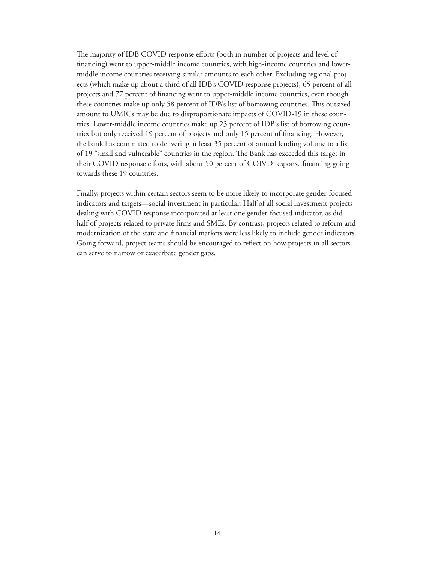The majority of IDB COVID response efforts (both in number of projects and level of financing) went to upper-middle income countries, with high-income countries and lowermiddle income countries receiving similar amounts to each other. Excluding regional projects (which make up about a third of all IDB's COVID response projects), 65 percent of all projects and 77 percent of financing went to upper-middle income countries, even though these countries make up only 58 percent of IDB's list of borrowing countries. This outsized amount to UMICs may be due to disproportionate impacts of COVID-19 in these countries. Lower-middle income countries make up 23 percent of IDB's list of borrowing countries but only received 19 percent of projects and only 15 percent of financing. However, the bank has committed to delivering at least 35 percent of annual lending volume to a list of 19 "small and vulnerable" countries in the region. The Bank has exceeded this target in their COVID response efforts, with about 50 percent of COIVD response financing going towards these 19 countries.

Finally, projects within certain sectors seem to be more likely to incorporate gender-focused indicators and targets—social investment in particular. Half of all social investment projects dealing with COVID response incorporated at least one gender-focused indicator, as did half of projects related to private firms and SMEs. By contrast, projects related to reform and modernization of the state and financial markets were less likely to include gender indicators. Going forward, project teams should be encouraged to reflect on how projects in all sectors can serve to narrow or exacerbate gender gaps.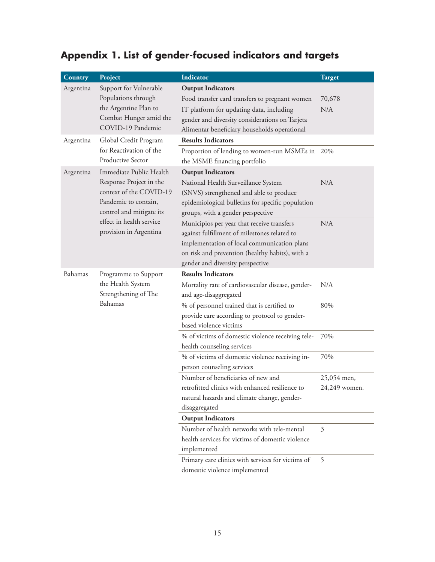## <span id="page-17-0"></span>**Appendix 1. List of gender-focused indicators and targets**

| <b>Country</b> | Project                                                                | <b>Indicator</b>                                  | Target        |
|----------------|------------------------------------------------------------------------|---------------------------------------------------|---------------|
| Argentina      | Support for Vulnerable<br>Populations through<br>the Argentine Plan to | <b>Output Indicators</b>                          |               |
|                |                                                                        | Food transfer card transfers to pregnant women    | 70,678        |
|                |                                                                        | IT platform for updating data, including          | N/A           |
|                | Combat Hunger amid the                                                 | gender and diversity considerations on Tarjeta    |               |
|                | COVID-19 Pandemic                                                      | Alimentar beneficiary households operational      |               |
| Argentina      | Global Credit Program                                                  | <b>Results Indicators</b>                         |               |
|                | for Reactivation of the                                                | Proportion of lending to women-run MSMEs in 20%   |               |
|                | Productive Sector                                                      | the MSME financing portfolio                      |               |
| Argentina      | Immediate Public Health                                                | <b>Output Indicators</b>                          |               |
|                | Response Project in the                                                | National Health Surveillance System               | N/A           |
|                | context of the COVID-19                                                | (SNVS) strengthened and able to produce           |               |
|                | Pandemic to contain,                                                   | epidemiological bulletins for specific population |               |
|                | control and mitigate its                                               | groups, with a gender perspective                 |               |
|                | effect in health service                                               | Municipios per year that receive transfers        | N/A           |
|                | provision in Argentina                                                 | against fulfillment of milestones related to      |               |
|                |                                                                        | implementation of local communication plans       |               |
|                |                                                                        | on risk and prevention (healthy habits), with a   |               |
|                |                                                                        | gender and diversity perspective                  |               |
| Bahamas        | Programme to Support                                                   | <b>Results Indicators</b>                         |               |
|                | the Health System<br>Strengthening of The<br>Bahamas                   | Mortality rate of cardiovascular disease, gender- | N/A           |
|                |                                                                        | and age-disaggregated                             |               |
|                |                                                                        | % of personnel trained that is certified to       | 80%           |
|                |                                                                        | provide care according to protocol to gender-     |               |
|                |                                                                        | based violence victims                            |               |
|                |                                                                        | % of victims of domestic violence receiving tele- | 70%           |
|                |                                                                        | health counseling services                        |               |
|                |                                                                        | % of victims of domestic violence receiving in-   | 70%           |
|                |                                                                        | person counseling services                        |               |
|                |                                                                        | Number of beneficiaries of new and                | 25,054 men,   |
|                |                                                                        | retrofitted clinics with enhanced resilience to   | 24,249 women. |
|                |                                                                        | natural hazards and climate change, gender-       |               |
|                |                                                                        | disaggregated                                     |               |
|                |                                                                        | <b>Output Indicators</b>                          |               |
|                |                                                                        | Number of health networks with tele-mental        | 3             |
|                |                                                                        | health services for victims of domestic violence  |               |
|                |                                                                        | implemented                                       |               |
|                |                                                                        | Primary care clinics with services for victims of | 5             |
|                |                                                                        | domestic violence implemented                     |               |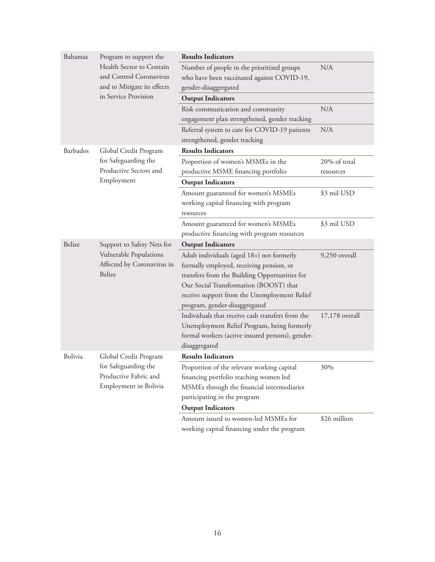| Bahamas  | Program to support the                                         | <b>Results Indicators</b>                                                                  |                           |
|----------|----------------------------------------------------------------|--------------------------------------------------------------------------------------------|---------------------------|
|          | Health Sector to Contain<br>and Control Coronavirus            | Number of people in the prioritized groups<br>who have been vaccinated against COVID-19,   | N/A                       |
|          | and to Mitigate its effects<br>in Service Provision            | gender-disaggregated<br><b>Output Indicators</b>                                           |                           |
|          |                                                                |                                                                                            | N/A                       |
|          |                                                                | Risk communication and community<br>engagement plan strengthened, gender tracking          |                           |
|          |                                                                | Referral system to care for COVID-19 patients<br>strengthened, gender tracking             | N/A                       |
| Barbados | Global Credit Program                                          | <b>Results Indicators</b>                                                                  |                           |
|          | for Safeguarding the<br>Productive Sectors and                 | Proportion of women's MSMEs in the<br>productive MSME financing portfolio                  | 20% of total<br>resources |
|          | Employment                                                     | <b>Output Indicators</b>                                                                   |                           |
|          |                                                                | Amount guaranteed for women's MSMEs<br>working capital financing with program<br>resources | \$3 mil USD               |
|          |                                                                | Amount guaranteed for women's MSMEs                                                        | \$3 mil USD               |
|          |                                                                | productive financing with program resources                                                |                           |
| Belize   | Support to Safety Nets for                                     | <b>Output Indicators</b>                                                                   |                           |
|          | Vulnerable Populations<br>Affected by Coronavirus in<br>Belize | Adult individuals (aged 18+) not formerly                                                  | 9,250 overall             |
|          |                                                                | formally employed, receiving pension, or                                                   |                           |
|          |                                                                | transfers from the Building Opportunities for                                              |                           |
|          |                                                                | Our Social Transformation (BOOST) that                                                     |                           |
|          |                                                                | receive support from the Unemployment Relief                                               |                           |
|          |                                                                | program, gender-disaggregated                                                              |                           |
|          |                                                                | Individuals that receive cash transfers from the                                           | 17,178 overall            |
|          |                                                                | Unemployment Relief Program, being formerly                                                |                           |
|          |                                                                | formal workers (active insured persons), gender-<br>disaggregated                          |                           |
| Bolivia  | Global Credit Program                                          | <b>Results Indicators</b>                                                                  |                           |
|          | for Safeguarding the                                           | Proportion of the relevant working capital                                                 | 30%                       |
|          | Productive Fabric and<br>Employment in Bolivia                 | financing portfolio reaching women led                                                     |                           |
|          |                                                                | MSMEs through the financial intermediaries                                                 |                           |
|          |                                                                | participating in the program                                                               |                           |
|          |                                                                | <b>Output Indicators</b>                                                                   |                           |
|          |                                                                | Amount issued to women-led MSMEs for                                                       | \$26 million              |
|          |                                                                | working capital financing under the program                                                |                           |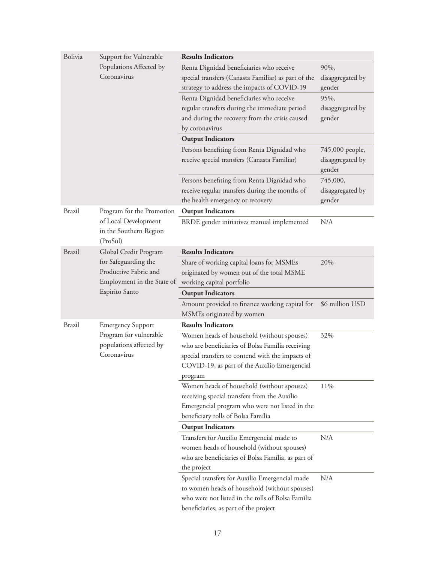| Bolivia                                                    | Support for Vulnerable<br>Populations Affected by<br>Coronavirus | <b>Results Indicators</b>                           |                            |
|------------------------------------------------------------|------------------------------------------------------------------|-----------------------------------------------------|----------------------------|
|                                                            |                                                                  | Renta Dignidad beneficiaries who receive            | 90%,                       |
|                                                            |                                                                  | special transfers (Canasta Familiar) as part of the | disaggregated by           |
|                                                            |                                                                  | strategy to address the impacts of COVID-19         | gender                     |
|                                                            |                                                                  | Renta Dignidad beneficiaries who receive            | 95%,                       |
|                                                            |                                                                  | regular transfers during the immediate period       | disaggregated by           |
|                                                            |                                                                  | and during the recovery from the crisis caused      | gender                     |
|                                                            |                                                                  | by coronavirus                                      |                            |
|                                                            |                                                                  | <b>Output Indicators</b>                            |                            |
|                                                            |                                                                  | Persons benefiting from Renta Dignidad who          | 745,000 people,            |
|                                                            |                                                                  | receive special transfers (Canasta Familiar)        | disaggregated by<br>gender |
|                                                            |                                                                  | Persons benefiting from Renta Dignidad who          | 745,000,                   |
|                                                            |                                                                  | receive regular transfers during the months of      | disaggregated by           |
|                                                            |                                                                  | the health emergency or recovery                    | gender                     |
| <b>Brazil</b>                                              | Program for the Promotion                                        | <b>Output Indicators</b>                            |                            |
| of Local Development<br>in the Southern Region<br>(ProSul) |                                                                  | BRDE gender initiatives manual implemented          | N/A                        |
| <b>Brazil</b>                                              | Global Credit Program                                            | <b>Results Indicators</b>                           |                            |
|                                                            | for Safeguarding the                                             | Share of working capital loans for MSMEs            | 20%                        |
|                                                            | Productive Fabric and                                            | originated by women out of the total MSME           |                            |
|                                                            | Employment in the State of<br>Espirito Santo                     | working capital portfolio                           |                            |
|                                                            |                                                                  | <b>Output Indicators</b>                            |                            |
|                                                            |                                                                  | Amount provided to finance working capital for      | \$6 million USD            |
|                                                            |                                                                  | MSMEs originated by women                           |                            |
| <b>Brazil</b>                                              | <b>Emergency Support</b>                                         | <b>Results Indicators</b>                           |                            |
|                                                            | Program for vulnerable                                           | Women heads of household (without spouses)          | 32%                        |
|                                                            | populations affected by<br>Coronavirus                           | who are beneficiaries of Bolsa Família receiving    |                            |
|                                                            |                                                                  | special transfers to contend with the impacts of    |                            |
|                                                            |                                                                  | COVID-19, as part of the Auxílio Emergencial        |                            |
|                                                            |                                                                  | program                                             |                            |
|                                                            |                                                                  | Women heads of household (without spouses)          | 11%                        |
|                                                            |                                                                  | receiving special transfers from the Auxílio        |                            |
|                                                            |                                                                  | Emergencial program who were not listed in the      |                            |
|                                                            |                                                                  | beneficiary rolls of Bolsa Família                  |                            |
|                                                            |                                                                  | <b>Output Indicators</b>                            |                            |
|                                                            |                                                                  | Transfers for Auxílio Emergencial made to           | N/A                        |
|                                                            |                                                                  | women heads of household (without spouses)          |                            |
|                                                            |                                                                  | who are beneficiaries of Bolsa Família, as part of  |                            |
|                                                            |                                                                  | the project                                         |                            |
|                                                            |                                                                  | Special transfers for Auxílio Emergencial made      | N/A                        |
|                                                            |                                                                  | to women heads of household (without spouses)       |                            |
|                                                            |                                                                  | who were not listed in the rolls of Bolsa Família   |                            |
|                                                            |                                                                  | beneficiaries, as part of the project               |                            |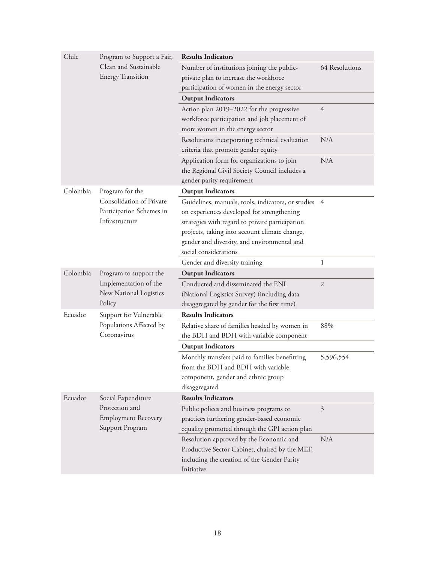| Chile    | Program to Support a Fair,<br>Clean and Sustainable<br><b>Energy Transition</b> | <b>Results Indicators</b>                                            |                |  |
|----------|---------------------------------------------------------------------------------|----------------------------------------------------------------------|----------------|--|
|          |                                                                                 | Number of institutions joining the public-                           | 64 Resolutions |  |
|          |                                                                                 | private plan to increase the workforce                               |                |  |
|          |                                                                                 | participation of women in the energy sector                          |                |  |
|          |                                                                                 | <b>Output Indicators</b>                                             |                |  |
|          |                                                                                 | Action plan 2019-2022 for the progressive                            | 4              |  |
|          |                                                                                 | workforce participation and job placement of                         |                |  |
|          |                                                                                 | more women in the energy sector                                      |                |  |
|          |                                                                                 | Resolutions incorporating technical evaluation                       | N/A            |  |
|          |                                                                                 | criteria that promote gender equity                                  |                |  |
|          |                                                                                 | Application form for organizations to join                           | N/A            |  |
|          |                                                                                 | the Regional Civil Society Council includes a                        |                |  |
|          |                                                                                 | gender parity requirement                                            |                |  |
| Colombia | Program for the                                                                 | <b>Output Indicators</b>                                             |                |  |
|          | Consolidation of Private                                                        | Guidelines, manuals, tools, indicators, or studies 4                 |                |  |
|          | Participation Schemes in                                                        | on experiences developed for strengthening                           |                |  |
|          | Infrastructure                                                                  | strategies with regard to private participation                      |                |  |
|          |                                                                                 | projects, taking into account climate change,                        |                |  |
|          |                                                                                 | gender and diversity, and environmental and<br>social considerations |                |  |
|          |                                                                                 | Gender and diversity training                                        | 1              |  |
| Colombia | Program to support the                                                          | <b>Output Indicators</b>                                             |                |  |
|          | Implementation of the                                                           | Conducted and disseminated the ENL                                   | $\overline{2}$ |  |
|          | New National Logistics<br>Policy                                                | (National Logistics Survey) (including data                          |                |  |
|          |                                                                                 | disaggregated by gender for the first time)                          |                |  |
| Ecuador  | Support for Vulnerable                                                          | <b>Results Indicators</b>                                            |                |  |
|          | Populations Affected by                                                         | Relative share of families headed by women in                        | 88%            |  |
|          | Coronavirus                                                                     | the BDH and BDH with variable component                              |                |  |
|          |                                                                                 | <b>Output Indicators</b>                                             |                |  |
|          |                                                                                 | Monthly transfers paid to families benefitting                       | 5,596,554      |  |
|          |                                                                                 | from the BDH and BDH with variable                                   |                |  |
|          |                                                                                 | component, gender and ethnic group                                   |                |  |
|          |                                                                                 | disaggregated                                                        |                |  |
| Ecuador  | Social Expenditure                                                              | <b>Results Indicators</b>                                            |                |  |
|          | Protection and                                                                  | Public polices and business programs or                              | 3              |  |
|          | <b>Employment Recovery</b>                                                      | practices furthering gender-based economic                           |                |  |
|          | Support Program                                                                 | equality promoted through the GPI action plan                        |                |  |
|          |                                                                                 | Resolution approved by the Economic and                              | N/A            |  |
|          |                                                                                 | Productive Sector Cabinet, chaired by the MEF,                       |                |  |
|          |                                                                                 | including the creation of the Gender Parity                          |                |  |
|          |                                                                                 | Initiative                                                           |                |  |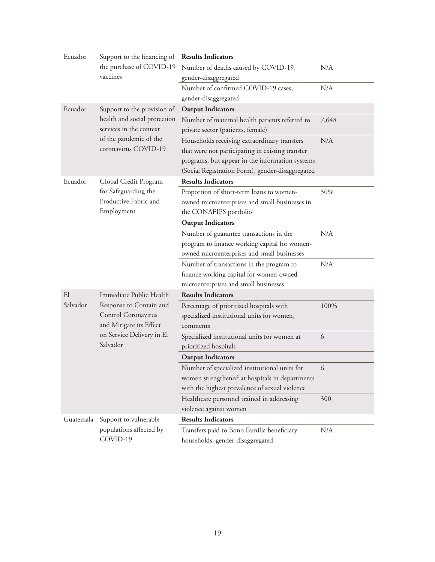| Ecuador   | Support to the financing of<br>the purchase of COVID-19<br>vaccines                                                | <b>Results Indicators</b>                                                      |       |
|-----------|--------------------------------------------------------------------------------------------------------------------|--------------------------------------------------------------------------------|-------|
|           |                                                                                                                    | Number of deaths caused by COVID-19,                                           | N/A   |
|           |                                                                                                                    | gender-disaggregated                                                           |       |
|           |                                                                                                                    | Number of confirmed COVID-19 cases,                                            | N/A   |
|           |                                                                                                                    | gender-disaggregated                                                           |       |
| Ecuador   | Support to the provision of                                                                                        | <b>Output Indicators</b>                                                       |       |
|           | health and social protection                                                                                       | Number of maternal health patients referred to                                 | 7,648 |
|           | services in the context                                                                                            | private sector (patients, female)                                              |       |
|           | of the pandemic of the                                                                                             | Households receiving extraordinary transfers                                   | N/A   |
|           | coronavirus COVID-19                                                                                               | that were not participating in existing transfer                               |       |
|           |                                                                                                                    | programs, but appear in the information systems                                |       |
|           |                                                                                                                    | (Social Registration Form), gender-disaggregated                               |       |
| Ecuador   | Global Credit Program                                                                                              | <b>Results Indicators</b>                                                      |       |
|           | for Safeguarding the                                                                                               | Proportion of short-term loans to women-                                       | 50%   |
|           | Productive Fabric and                                                                                              | owned microenterprises and small businesses in                                 |       |
|           | Employment                                                                                                         | the CONAFIPS portfolio                                                         |       |
|           |                                                                                                                    | <b>Output Indicators</b>                                                       |       |
|           |                                                                                                                    | Number of guarantee transactions in the                                        | N/A   |
|           |                                                                                                                    | program to finance working capital for women-                                  |       |
|           |                                                                                                                    | owned microenterprises and small businesses                                    |       |
|           |                                                                                                                    | Number of transactions in the program to                                       | N/A   |
|           |                                                                                                                    | finance working capital for women-owned                                        |       |
|           |                                                                                                                    | microenterprises and small businesses                                          |       |
| E1        | Immediate Public Health                                                                                            | <b>Results Indicators</b>                                                      |       |
| Salvador  | Response to Contain and<br>Control Coronavirus<br>and Mitigate its Effect<br>on Service Delivery in El<br>Salvador | Percentage of prioritized hospitals with                                       | 100%  |
|           |                                                                                                                    | specialized institutional units for women,                                     |       |
|           |                                                                                                                    | comments                                                                       |       |
|           |                                                                                                                    | Specialized institutional units for women at                                   | 6     |
|           |                                                                                                                    | prioritized hospitals                                                          |       |
|           |                                                                                                                    | <b>Output Indicators</b>                                                       |       |
|           |                                                                                                                    | Number of specialized institutional units for                                  | 6     |
|           |                                                                                                                    | women strengthened at hospitals in departments                                 |       |
|           |                                                                                                                    | with the highest prevalence of sexual violence                                 |       |
|           |                                                                                                                    | Healthcare personnel trained in addressing<br>violence against women           | 300   |
|           |                                                                                                                    | <b>Results Indicators</b>                                                      |       |
| Guatemala | Support to vulnerable                                                                                              |                                                                                |       |
|           | populations affected by<br>COVID-19                                                                                | Transfers paid to Bono Familia beneficiary<br>households, gender-disaggregated | N/A   |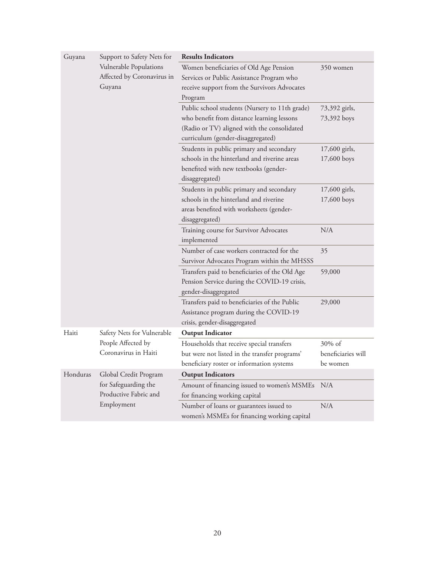| Guyana   | Support to Safety Nets for                                                           | <b>Results Indicators</b>                                                                                                                                                        |                                          |  |
|----------|--------------------------------------------------------------------------------------|----------------------------------------------------------------------------------------------------------------------------------------------------------------------------------|------------------------------------------|--|
|          | Vulnerable Populations<br>Affected by Coronavirus in<br>Guyana                       | Women beneficiaries of Old Age Pension<br>Services or Public Assistance Program who<br>receive support from the Survivors Advocates                                              | 350 women                                |  |
|          |                                                                                      | Program                                                                                                                                                                          |                                          |  |
|          |                                                                                      | Public school students (Nursery to 11th grade)<br>who benefit from distance learning lessons<br>(Radio or TV) aligned with the consolidated<br>curriculum (gender-disaggregated) | 73,392 girls,<br>73,392 boys             |  |
|          |                                                                                      | Students in public primary and secondary<br>schools in the hinterland and riverine areas<br>benefited with new textbooks (gender-<br>disaggregated)                              | 17,600 girls,<br>17,600 boys             |  |
|          |                                                                                      | Students in public primary and secondary<br>schools in the hinterland and riverine<br>areas benefited with worksheets (gender-<br>disaggregated)                                 | 17,600 girls,<br>17,600 boys             |  |
|          |                                                                                      | Training course for Survivor Advocates<br>implemented                                                                                                                            | N/A                                      |  |
|          |                                                                                      | Number of case workers contracted for the<br>Survivor Advocates Program within the MHSSS                                                                                         | 35                                       |  |
|          |                                                                                      | Transfers paid to beneficiaries of the Old Age<br>Pension Service during the COVID-19 crisis,<br>gender-disaggregated                                                            | 59,000                                   |  |
|          |                                                                                      | Transfers paid to beneficiaries of the Public<br>Assistance program during the COVID-19<br>crisis, gender-disaggregated                                                          | 29,000                                   |  |
| Haiti    | Safety Nets for Vulnerable                                                           | <b>Output Indicator</b>                                                                                                                                                          |                                          |  |
|          | People Affected by<br>Coronavirus in Haiti                                           | Households that receive special transfers<br>but were not listed in the transfer programs'<br>beneficiary roster or information systems                                          | 30% of<br>beneficiaries will<br>be women |  |
| Honduras | Global Credit Program<br>for Safeguarding the<br>Productive Fabric and<br>Employment | <b>Output Indicators</b>                                                                                                                                                         |                                          |  |
|          |                                                                                      | Amount of financing issued to women's MSMEs<br>for financing working capital                                                                                                     | N/A                                      |  |
|          |                                                                                      | Number of loans or guarantees issued to<br>women's MSMEs for financing working capital                                                                                           | N/A                                      |  |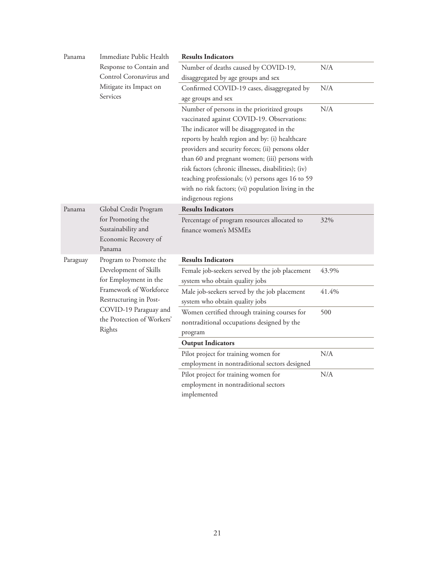| Panama   | Immediate Public Health                                                                                                                                             | <b>Results Indicators</b>                                                                  |       |
|----------|---------------------------------------------------------------------------------------------------------------------------------------------------------------------|--------------------------------------------------------------------------------------------|-------|
|          | Response to Contain and<br>Control Coronavirus and                                                                                                                  | Number of deaths caused by COVID-19,                                                       | N/A   |
|          |                                                                                                                                                                     | disaggregated by age groups and sex                                                        |       |
|          | Mitigate its Impact on                                                                                                                                              | Confirmed COVID-19 cases, disaggregated by                                                 | N/A   |
|          | Services                                                                                                                                                            | age groups and sex                                                                         |       |
|          |                                                                                                                                                                     | Number of persons in the prioritized groups<br>vaccinated against COVID-19. Observations:  | N/A   |
|          |                                                                                                                                                                     | The indicator will be disaggregated in the                                                 |       |
|          |                                                                                                                                                                     | reports by health region and by: (i) healthcare                                            |       |
|          |                                                                                                                                                                     | providers and security forces; (ii) persons older                                          |       |
|          |                                                                                                                                                                     | than 60 and pregnant women; (iii) persons with                                             |       |
|          |                                                                                                                                                                     | risk factors (chronic illnesses, disabilities); (iv)                                       |       |
|          |                                                                                                                                                                     | teaching professionals; (v) persons ages 16 to 59                                          |       |
|          |                                                                                                                                                                     | with no risk factors; (vi) population living in the                                        |       |
|          |                                                                                                                                                                     | indigenous regions                                                                         |       |
| Panama   | Global Credit Program<br>for Promoting the<br>Sustainability and<br>Economic Recovery of<br>Panama                                                                  | <b>Results Indicators</b>                                                                  |       |
|          |                                                                                                                                                                     | Percentage of program resources allocated to<br>finance women's MSMEs                      | 32%   |
| Paraguay | Program to Promote the                                                                                                                                              | <b>Results Indicators</b>                                                                  |       |
|          | Development of Skills<br>for Employment in the<br>Framework of Workforce<br>Restructuring in Post-<br>COVID-19 Paraguay and<br>the Protection of Workers'<br>Rights | Female job-seekers served by the job placement<br>system who obtain quality jobs           | 43.9% |
|          |                                                                                                                                                                     | Male job-seekers served by the job placement<br>system who obtain quality jobs             | 41.4% |
|          |                                                                                                                                                                     | Women certified through training courses for<br>nontraditional occupations designed by the | 500   |
|          |                                                                                                                                                                     | program                                                                                    |       |
|          |                                                                                                                                                                     | <b>Output Indicators</b>                                                                   |       |
|          |                                                                                                                                                                     | Pilot project for training women for                                                       | N/A   |
|          |                                                                                                                                                                     | employment in nontraditional sectors designed                                              |       |
|          |                                                                                                                                                                     | Pilot project for training women for                                                       | N/A   |
|          |                                                                                                                                                                     | employment in nontraditional sectors                                                       |       |
|          |                                                                                                                                                                     | implemented                                                                                |       |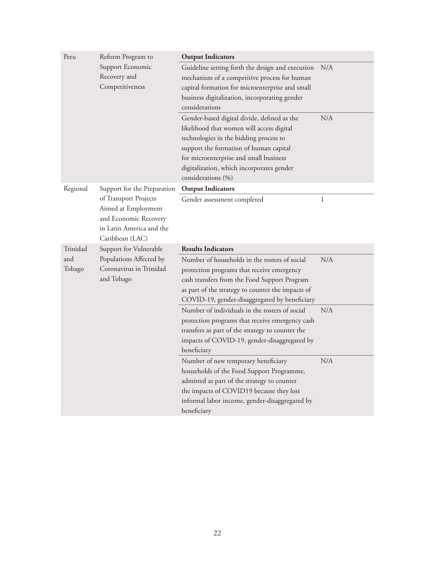| Peru                                                                                                                 | Reform Program to                                   | <b>Output Indicators</b>                                                                                                                                                                                                                                                                  |     |
|----------------------------------------------------------------------------------------------------------------------|-----------------------------------------------------|-------------------------------------------------------------------------------------------------------------------------------------------------------------------------------------------------------------------------------------------------------------------------------------------|-----|
|                                                                                                                      | Support Economic<br>Recovery and<br>Competitiveness | Guideline setting forth the design and execution<br>mechanism of a competitive process for human<br>capital formation for microenterprise and small                                                                                                                                       | N/A |
|                                                                                                                      |                                                     | business digitalization, incorporating gender<br>considerations                                                                                                                                                                                                                           |     |
|                                                                                                                      |                                                     | Gender-based digital divide, defined as the<br>likelihood that women will access digital<br>technologies in the bidding process to<br>support the formation of human capital<br>for microenterprise and small business<br>digitalization, which incorporates gender<br>considerations (%) | N/A |
| Regional                                                                                                             | Support for the Preparation                         | <b>Output Indicators</b>                                                                                                                                                                                                                                                                  |     |
| of Transport Projects<br>Aimed at Employment<br>and Economic Recovery<br>in Latin America and the<br>Caribbean (LAC) | Gender assessment completed                         | 1                                                                                                                                                                                                                                                                                         |     |
| Trinidad                                                                                                             | Support for Vulnerable                              | <b>Results Indicators</b>                                                                                                                                                                                                                                                                 |     |
| and<br>Populations Affected by<br>Coronavirus in Trinidad<br>Tobago<br>and Tobago                                    |                                                     | Number of households in the rosters of social<br>protection programs that receive emergency<br>cash transfers from the Food Support Program<br>as part of the strategy to counter the impacts of<br>COVID-19, gender-disaggregated by beneficiary                                         | N/A |
|                                                                                                                      |                                                     | Number of individuals in the rosters of social<br>protection programs that receive emergency cash<br>transfers as part of the strategy to counter the<br>impacts of COVID-19, gender-disaggregated by<br>beneficiary                                                                      | N/A |
|                                                                                                                      |                                                     | Number of new temporary beneficiary<br>households of the Food Support Programme,<br>admitted as part of the strategy to counter<br>the impacts of COVID19 because they lost<br>informal labor income, gender-disaggregated by<br>beneficiary                                              | N/A |